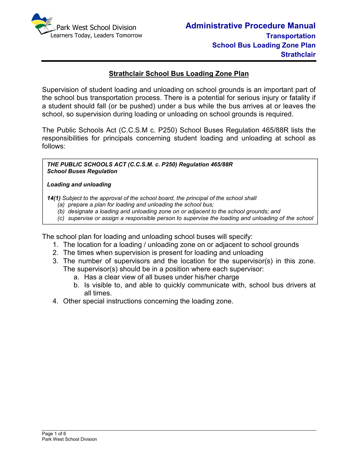

### **Strathclair School Bus Loading Zone Plan**

Supervision of student loading and unloading on school grounds is an important part of the school bus transportation process. There is a potential for serious injury or fatality if a student should fall (or be pushed) under a bus while the bus arrives at or leaves the school, so supervision during loading or unloading on school grounds is required.

The Public Schools Act (C.C.S.M c. P250) School Buses Regulation 465/88R lists the responsibilities for principals concerning student loading and unloading at school as follows:

*THE PUBLIC SCHOOLS ACT (C.C.S.M. c. P250) Regulation 465/88R School Buses Regulation* 

#### *Loading and unloading*

*bus.*

*14(1) Subject to the approval of the school board, the principal of the school shall* 

- *(a) prepare a plan for loading and unloading the school bus;*
- *(b) designate a loading and unloading zone on or adjacent to the school grounds; and*
- *(c) supervise or assign a responsible person to supervise the loading and unloading of the school*

The school plan for loading and unloading school buses will specify:

- 1. The location for a loading / unloading zone on or adjacent to school grounds
- 2. The times when supervision is present for loading and unloading
- 3. The number of supervisors and the location for the supervisor(s) in this zone. The supervisor(s) should be in a position where each supervisor:
	- a. Has a clear view of all buses under his/her charge
	- b. Is visible to, and able to quickly communicate with, school bus drivers at all times.
- 4. Other special instructions concerning the loading zone.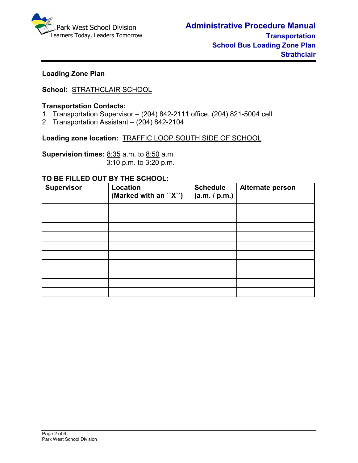

# **Loading Zone Plan**

# **School:** STRATHCLAIR SCHOOL

### **Transportation Contacts:**

- 1. Transportation Supervisor (204) 842-2111 office, (204) 821-5004 cell
- 2. Transportation Assistant (204) 842-2104

**Loading zone location:** TRAFFIC LOOP SOUTH SIDE OF SCHOOL

**Supervision times:** 8:35 a.m. to 8:50 a.m.3:10 p.m. to 3:20 p.m.

### **TO BE FILLED OUT BY THE SCHOOL:**

| <b>Supervisor</b> | Location<br>(Marked with an "X") | <b>Schedule</b><br>(a.m. / p.m.) | Alternate person |
|-------------------|----------------------------------|----------------------------------|------------------|
|                   |                                  |                                  |                  |
|                   |                                  |                                  |                  |
|                   |                                  |                                  |                  |
|                   |                                  |                                  |                  |
|                   |                                  |                                  |                  |
|                   |                                  |                                  |                  |
|                   |                                  |                                  |                  |
|                   |                                  |                                  |                  |
|                   |                                  |                                  |                  |
|                   |                                  |                                  |                  |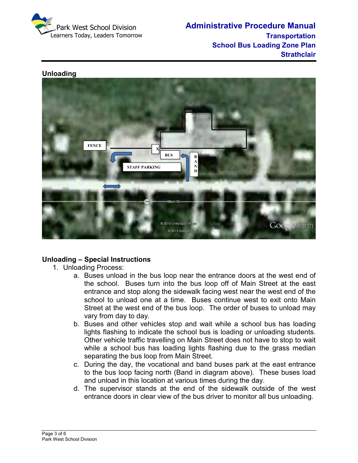

### **Unloading**



# **Unloading – Special Instructions**

- 1. Unloading Process:
	- a. Buses unload in the bus loop near the entrance doors at the west end of the school. Buses turn into the bus loop off of Main Street at the east entrance and stop along the sidewalk facing west near the west end of the school to unload one at a time. Buses continue west to exit onto Main Street at the west end of the bus loop. The order of buses to unload may vary from day to day.
	- b. Buses and other vehicles stop and wait while a school bus has loading lights flashing to indicate the school bus is loading or unloading students. Other vehicle traffic travelling on Main Street does not have to stop to wait while a school bus has loading lights flashing due to the grass median separating the bus loop from Main Street.
	- c. During the day, the vocational and band buses park at the east entrance to the bus loop facing north (Band in diagram above). These buses load and unload in this location at various times during the day.
	- d. The supervisor stands at the end of the sidewalk outside of the west entrance doors in clear view of the bus driver to monitor all bus unloading.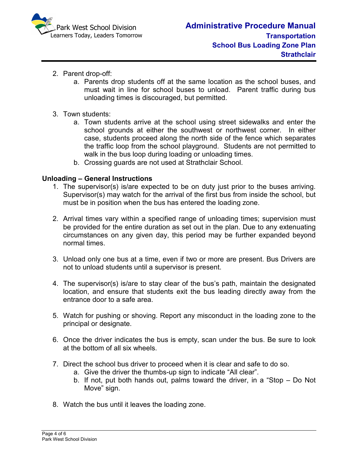

- 2. Parent drop-off:
	- a. Parents drop students off at the same location as the school buses, and must wait in line for school buses to unload. Parent traffic during bus unloading times is discouraged, but permitted.
- 3. Town students:
	- a. Town students arrive at the school using street sidewalks and enter the school grounds at either the southwest or northwest corner. In either case, students proceed along the north side of the fence which separates the traffic loop from the school playground. Students are not permitted to walk in the bus loop during loading or unloading times.
	- b. Crossing guards are not used at Strathclair School.

### **Unloading – General Instructions**

- 1. The supervisor(s) is/are expected to be on duty just prior to the buses arriving. Supervisor(s) may watch for the arrival of the first bus from inside the school, but must be in position when the bus has entered the loading zone.
- 2. Arrival times vary within a specified range of unloading times; supervision must be provided for the entire duration as set out in the plan. Due to any extenuating circumstances on any given day, this period may be further expanded beyond normal times.
- 3. Unload only one bus at a time, even if two or more are present. Bus Drivers are not to unload students until a supervisor is present.
- 4. The supervisor(s) is/are to stay clear of the bus's path, maintain the designated location, and ensure that students exit the bus leading directly away from the entrance door to a safe area.
- 5. Watch for pushing or shoving. Report any misconduct in the loading zone to the principal or designate.
- 6. Once the driver indicates the bus is empty, scan under the bus. Be sure to look at the bottom of all six wheels.
- 7. Direct the school bus driver to proceed when it is clear and safe to do so.
	- a. Give the driver the thumbs-up sign to indicate "All clear".
	- b. If not, put both hands out, palms toward the driver, in a "Stop Do Not Move" sign.
- 8. Watch the bus until it leaves the loading zone.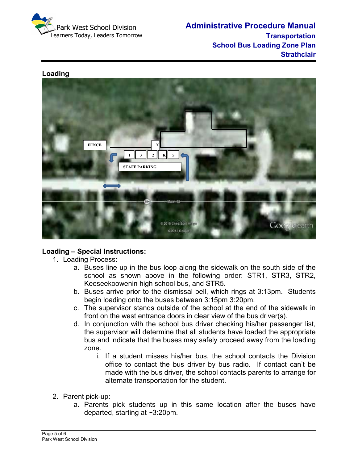

### **Loading**



# **Loading – Special Instructions:**

- 1. Loading Process:
	- a. Buses line up in the bus loop along the sidewalk on the south side of the school as shown above in the following order: STR1, STR3, STR2, Keeseekoowenin high school bus, and STR5.
	- b. Buses arrive prior to the dismissal bell, which rings at 3:13pm. Students begin loading onto the buses between 3:15pm 3:20pm.
	- c. The supervisor stands outside of the school at the end of the sidewalk in front on the west entrance doors in clear view of the bus driver(s).
	- d. In conjunction with the school bus driver checking his/her passenger list, the supervisor will determine that all students have loaded the appropriate bus and indicate that the buses may safely proceed away from the loading zone.
		- i. If a student misses his/her bus, the school contacts the Division office to contact the bus driver by bus radio. If contact can't be made with the bus driver, the school contacts parents to arrange for alternate transportation for the student.
- 2. Parent pick-up:
	- a. Parents pick students up in this same location after the buses have departed, starting at ~3:20pm.